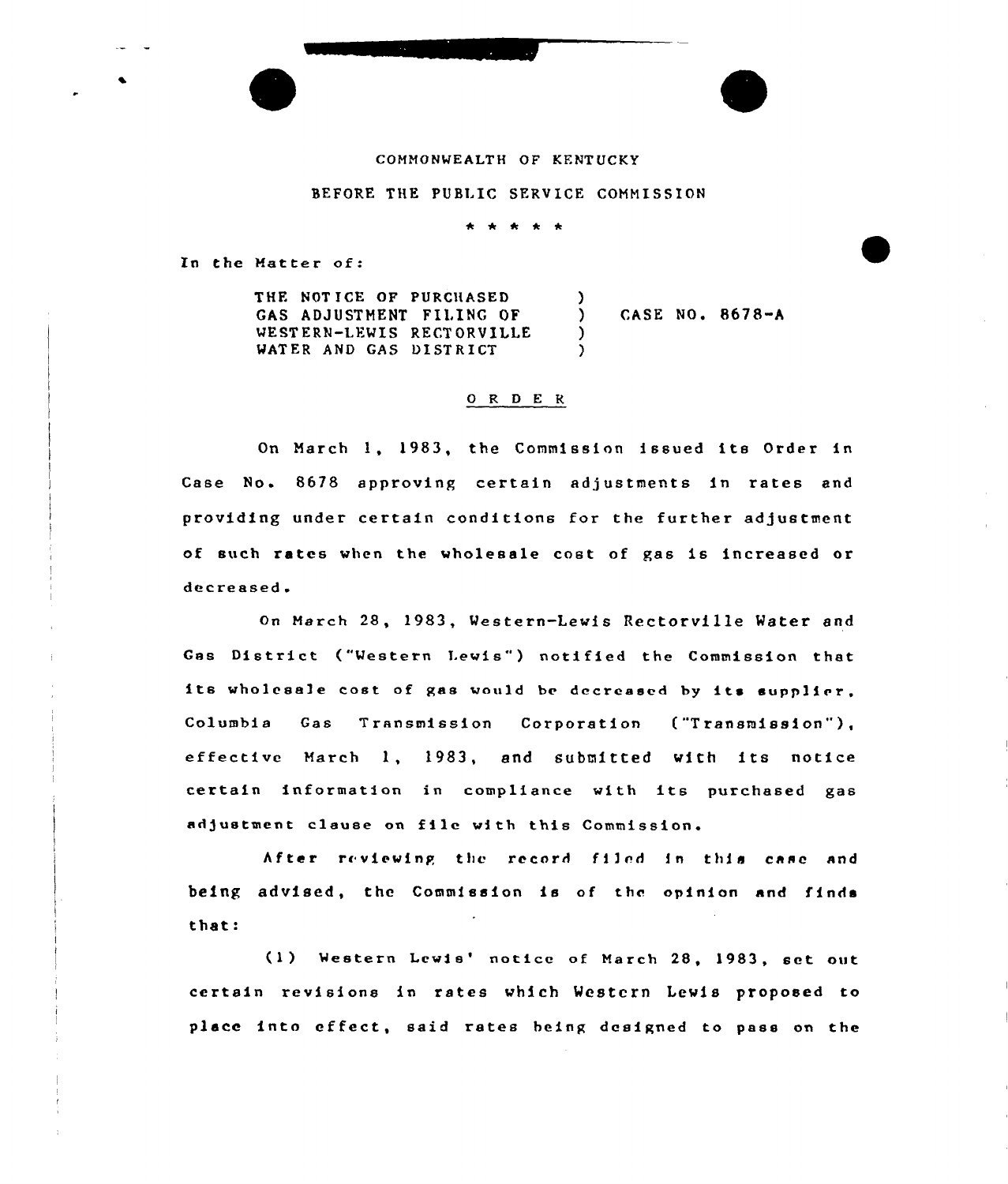#### COMMONWEALTH OF KENT UCKY

#### BEFORE THE PUBLIC SERVICE COMMISSION

\* \* \* \*

In the Matter of:

THE NOT ICE OF PURCHASED GAS ADJUSTMENT FILING OF WESTERN-LEWIS RECTORVILLE WATER AND GAS DISTRICT

) CASE NO. 8678-A

## 0 R <sup>D</sup> E R

 $\lambda$ 

) )

On March 1, 1983, the Commission issued its Order in Case No. 8678 approving certain adjustments in rates and providing under certain conditions for the further adjustment of such rates when the wholesale cost of gas is increased or decreased.

on March 28, 1983, Western-Lewis Rectorville Water and Gas District ("Western Lewis") notified the Commission that its wholesale cost of gas would be decreased by its supplier, Columbia Gas Transmission Corporation ("Transmission" ), effective March 1, 1983, and submitted with its notice certain information in compliance with its purchased gas adjustment clause on file with this Commission.

After reviewing the record filed in this case and being advised, the Commission is of the opinion and finds that:

(1) Western Lewis' notice of March 28, 1983, set out certain revisions in rates which Westcx'n Lewis proposed to place into effect, said rates heing designed to pass on the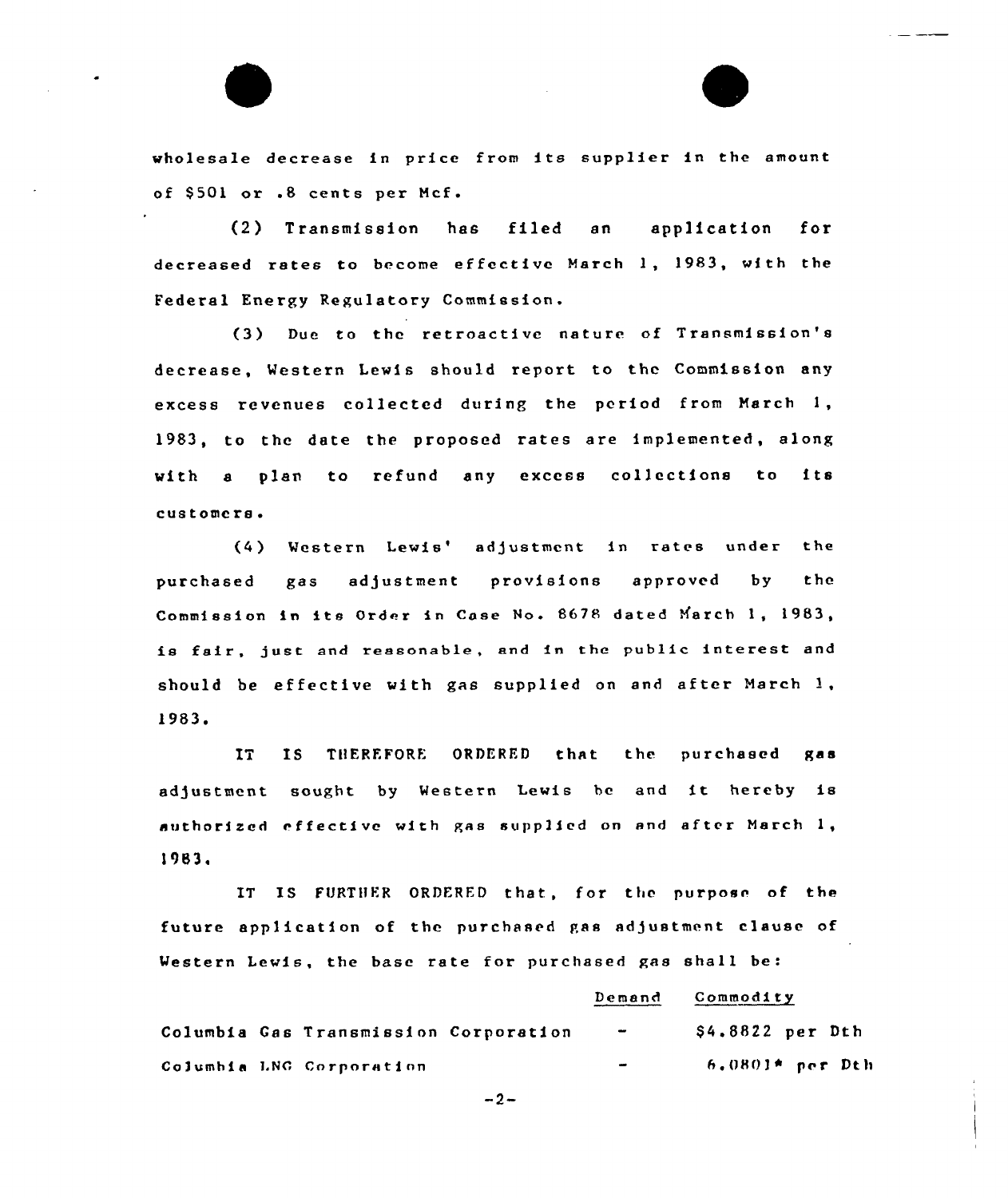wholesale decrease in price from its supplier in the amount of \$501 or .8 cents per Mcf.

(2) Transmission has filed an application for decreased rates to become effective March 1, 1983, with the Federal Energy Regulatory Commission.

(3) Due to the retroactive nature of Transmission's decrease, Western Lewis should report to the Commission any excess revenues collected during the period from March 1, 1983, to the date the proposed rates are implemented, along with <sup>a</sup> plan to refund any excess collections to its customers.

(4) Western Lewis' adjustment in rates under the purchased gas adjustment provisions approved by the Commission in its Order in Case No. 8678 dated March 1, 1983, is fair, just and reasonable, and in the public interest and should be effective with gas supplied on and after March  $1$ , 1983+

IT IS THEREFORE ORDERED that the purchased gas adjustment sought by Western Lewis be and it hereby is authorized effective with gas supplied on and after March  $1$ , 1983.

IT IS FURTHER ORDERED that, for the purpose of the future application of the purchased gas adjustment clause of Western Lewis, the base rate for purchased gas shall be:

## Demand Commodity

|  | Columbia Gas Transmission Corporation | $\blacksquare$           | \$4.8822 per Dth    |
|--|---------------------------------------|--------------------------|---------------------|
|  | Columbia LNG Corporation              | $\overline{\phantom{a}}$ | $-6.0801$ * per Dth |

 $-2-$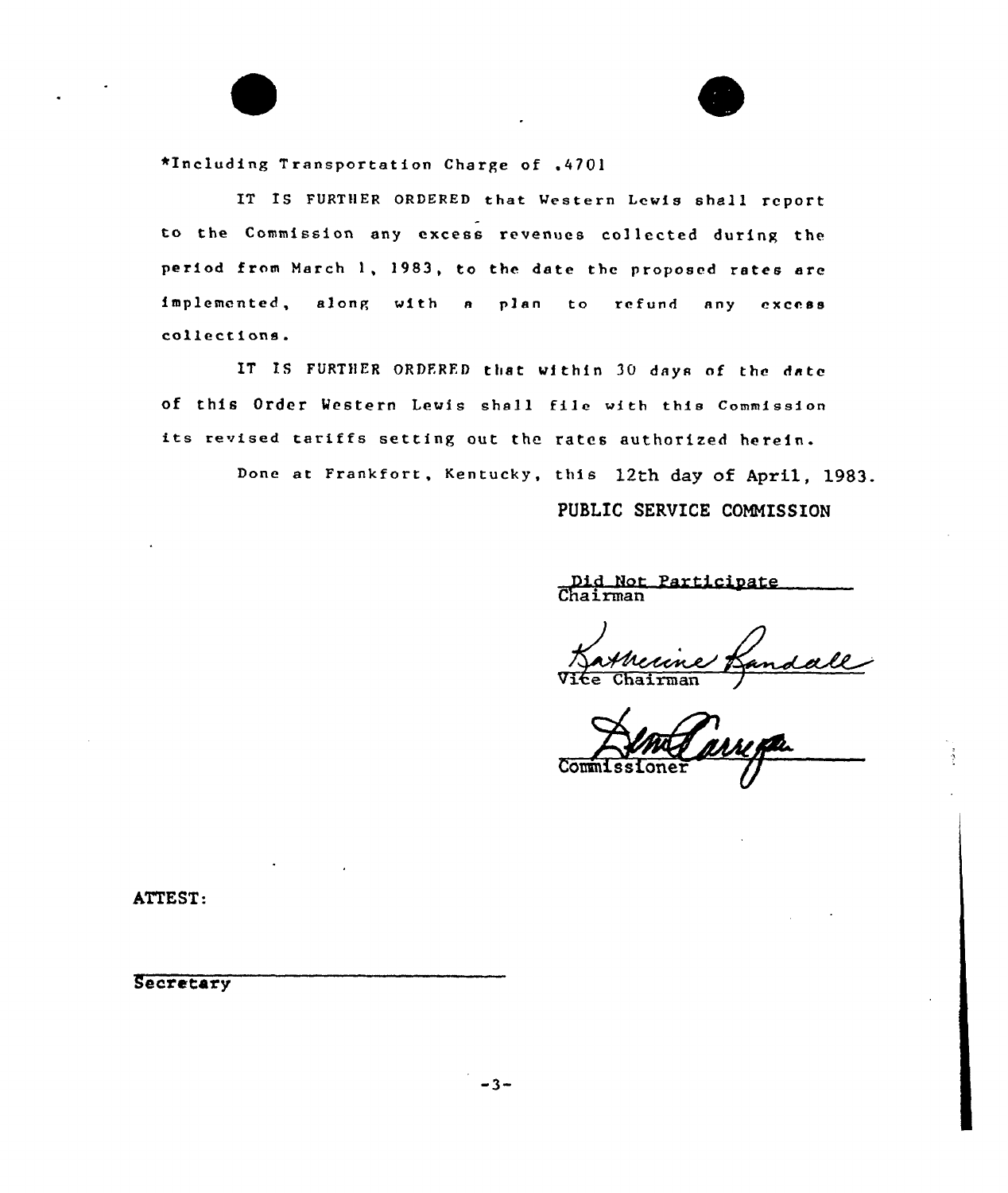\*Including Transportation Charge of .4701

IT IS FURTHER ORDERED that Western Lewis shall report to the Commission any excess revenues col lected during the period from March 1, 1983, to the date tbc proposed rates are implemented, along with a plan to refund any excess collections.

IT IS FURTHER ORDERED that within 30 days of the date of this Order western Lewis shall file with this Commission its revised tariffs setting out the rates authorized herein.

Done at Frankfort, Kentucky, this 12th day of April, 1983.

PUBLIC SERVICE COMMISSION

E

Did Not Particioate Chairma

irman

ATTEST:

**Secretary**